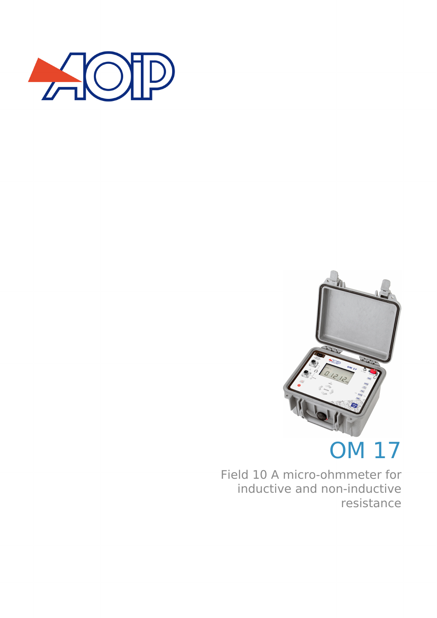



# OM 17

Field 10 A micro-ohmmeter for inductive and non-inductive resistance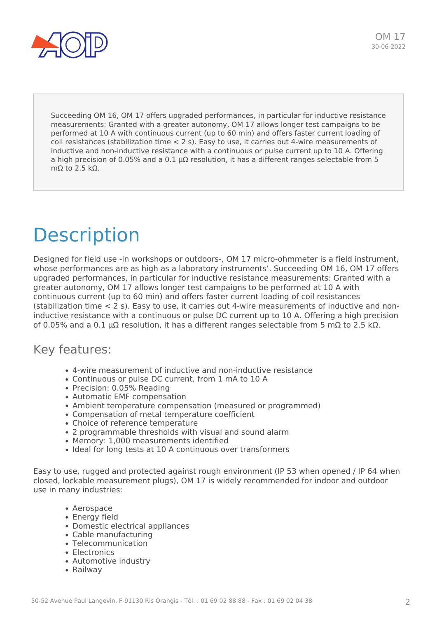

Succeeding OM 16, OM 17 offers upgraded performances, in particular for inductive resistance measurements: Granted with a greater autonomy, OM 17 allows longer test campaigns to be performed at 10 A with continuous current (up to 60 min) and offers faster current loading of coil resistances (stabilization time < 2 s). Easy to use, it carries out 4-wire measurements of inductive and non-inductive resistance with a continuous or pulse current up to 10 A. Offering a high precision of 0.05% and a 0.1 µΩ resolution, it has a different ranges selectable from 5 mΩ to 2.5 kΩ.

# Description

Designed for field use -in workshops or outdoors-, OM 17 micro-ohmmeter is a field instrument, whose performances are as high as a laboratory instruments'. Succeeding OM 16, OM 17 offers upgraded performances, in particular for inductive resistance measurements: Granted with a greater autonomy, OM 17 allows longer test campaigns to be performed at 10 A with continuous current (up to 60 min) and offers faster current loading of coil resistances (stabilization time < 2 s). Easy to use, it carries out 4-wire measurements of inductive and noninductive resistance with a continuous or pulse DC current up to 10 A. Offering a high precision of 0.05% and a 0.1 µΩ resolution, it has a different ranges selectable from 5 mΩ to 2.5 kΩ.

### Key features:

- 4-wire measurement of inductive and non-inductive resistance
- Continuous or pulse DC current, from 1 mA to 10 A
- Precision: 0.05% Reading
- Automatic EMF compensation
- Ambient temperature compensation (measured or programmed)
- Compensation of metal temperature coefficient
- Choice of reference temperature
- 2 programmable thresholds with visual and sound alarm
- Memory: 1,000 measurements identified
- Ideal for long tests at 10 A continuous over transformers

Easy to use, rugged and protected against rough environment (IP 53 when opened / IP 64 when closed, lockable measurement plugs), OM 17 is widely recommended for indoor and outdoor use in many industries:

- Aerospace
- Energy field
- Domestic electrical appliances
- Cable manufacturing
- Telecommunication
- Electronics
- Automotive industry
- Railway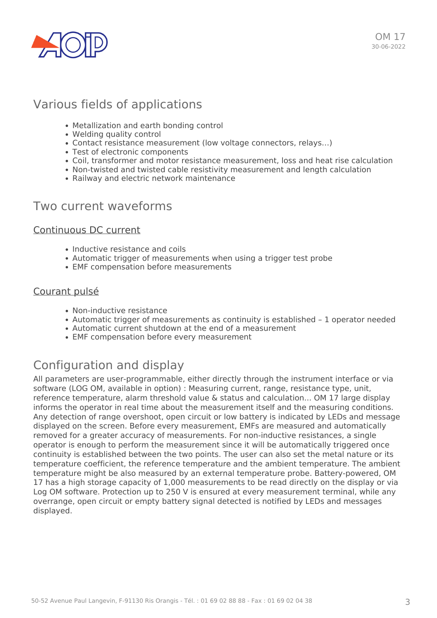

### Various fields of applications

- Metallization and earth bonding control
- Welding quality control
- Contact resistance measurement (low voltage connectors, relays…)
- Test of electronic components
- Coil, transformer and motor resistance measurement, loss and heat rise calculation
- Non-twisted and twisted cable resistivity measurement and length calculation
- Railway and electric network maintenance

#### Two current waveforms

#### Continuous DC current

- Inductive resistance and coils
- Automatic trigger of measurements when using a trigger test probe
- EMF compensation before measurements

#### Courant pulsé

- Non-inductive resistance
- Automatic trigger of measurements as continuity is established 1 operator needed
- Automatic current shutdown at the end of a measurement
- EMF compensation before every measurement

## Configuration and display

All parameters are user-programmable, either directly through the instrument interface or via software (LOG OM, available in option) : Measuring current, range, resistance type, unit, reference temperature, alarm threshold value & status and calculation... OM 17 large display informs the operator in real time about the measurement itself and the measuring conditions. Any detection of range overshoot, open circuit or low battery is indicated by LEDs and message displayed on the screen. Before every measurement, EMFs are measured and automatically removed for a greater accuracy of measurements. For non-inductive resistances, a single operator is enough to perform the measurement since it will be automatically triggered once continuity is established between the two points. The user can also set the metal nature or its temperature coefficient, the reference temperature and the ambient temperature. The ambient temperature might be also measured by an external temperature probe. Battery-powered, OM 17 has a high storage capacity of 1,000 measurements to be read directly on the display or via Log OM software. Protection up to 250 V is ensured at every measurement terminal, while any overrange, open circuit or empty battery signal detected is notified by LEDs and messages displayed.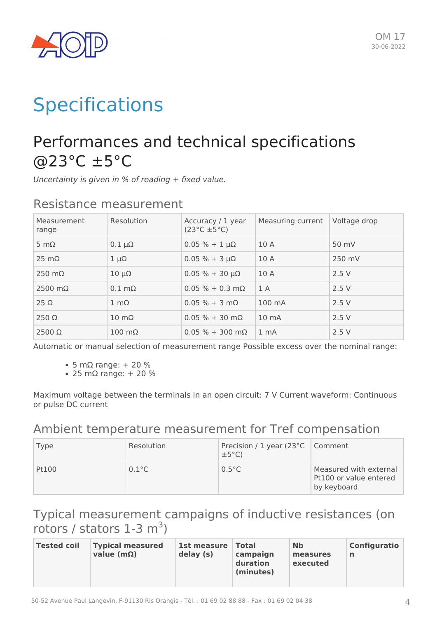

# **Specifications**

# Performances and technical specifications @23°C ±5°C

*Uncertainty is given in % of reading + fixed value.*

| Measurement<br>range   | Resolution            | Accuracy / 1 year<br>$(23^{\circ}C \pm 5^{\circ}C)$ | Measuring current | Voltage drop |
|------------------------|-----------------------|-----------------------------------------------------|-------------------|--------------|
| 5 m $\Omega$           | $0.1 \mu\Omega$       | $0.05 \% + 1 \mu\Omega$                             | 10A               | 50 mV        |
| $25 \text{ mA}$        | $1 \mu\Omega$         | $0.05 \% + 3 \mu\Omega$                             | 10A               | 250 mV       |
| $250 \text{ m}\Omega$  | $10 \mu\Omega$        | $0.05 \% + 30 \mu\Omega$                            | 10A               | 2.5V         |
| $2500 \text{ m}\Omega$ | $0.1 \text{ mA}$      | $0.05 \% + 0.3 \text{ m}\Omega$                     | 1A                | 2.5V         |
| $25 \Omega$            | $1 \text{ mA}$        | $0.05 \% + 3 m\Omega$                               | 100 mA            | 2.5V         |
| $250 \Omega$           | $10 \text{ m}\Omega$  | $0.05 \% + 30 m\Omega$                              | 10 <sub>mA</sub>  | 2.5V         |
| $2500 \Omega$          | $100 \text{ m}\Omega$ | $0.05 \% + 300 \text{ m}\Omega$                     | 1 <sub>mA</sub>   | 2.5V         |

### Resistance measurement

Automatic or manual selection of measurement range Possible excess over the nominal range:

- 5 mΩ range: + 20 %
- $\cdot$  25 mΩ range: + 20 %

Maximum voltage between the terminals in an open circuit: 7 V Current waveform: Continuous or pulse DC current

### Ambient temperature measurement for Tref compensation

| Type  | Resolution      | Precision / 1 year (23°C   Comment<br>$\pm 5^{\circ}$ C) |                                                                 |
|-------|-----------------|----------------------------------------------------------|-----------------------------------------------------------------|
| Pt100 | $0.1^{\circ}$ C | $0.5^{\circ}$ C                                          | Measured with external<br>Pt100 or value entered<br>by keyboard |

## Typical measurement campaigns of inductive resistances (on rotors / stators  $1-3$  m<sup>3</sup>)

| <b>Tested coil</b> | <b>Typical measured</b><br>value ( $m\Omega$ ) | 1st measure<br>delay (s) | $\sf Total$<br>campaign<br>duration<br>(minutes) | <b>Nb</b><br>measures<br>executed | Configuratio<br>n |
|--------------------|------------------------------------------------|--------------------------|--------------------------------------------------|-----------------------------------|-------------------|
|--------------------|------------------------------------------------|--------------------------|--------------------------------------------------|-----------------------------------|-------------------|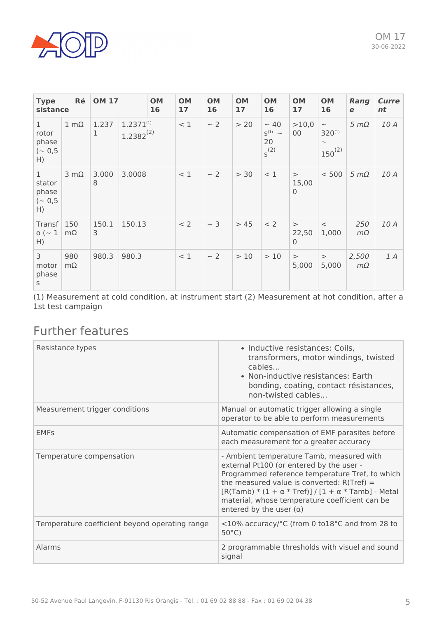

| Ré<br><b>OM 17</b><br><b>Type</b><br>sistance      |                  |            | <b>OM</b><br>16                  | <b>OM</b><br>17 | <b>OM</b><br>16 | <b>OM</b><br>17 | <b>OM</b><br>16 | <b>OM</b><br>17                             | <b>OM</b><br>16                   | Rang<br>e                                                                       | Curre<br>nt           |      |
|----------------------------------------------------|------------------|------------|----------------------------------|-----------------|-----------------|-----------------|-----------------|---------------------------------------------|-----------------------------------|---------------------------------------------------------------------------------|-----------------------|------|
| $\mathbf{1}$<br>rotor<br>phase<br>$(-0, 5)$<br>H)  | $1 \text{ mA}$   | 1.237<br>1 | $1.2371^{(1)}$<br>$1.2382^{(2)}$ |                 | < 1             | $\sim$ 2        | > 20            | $\sim$ 40<br>$S^{(1)}$ ~<br>20<br>$s^{(2)}$ | >10,0<br>00                       | $\widetilde{\phantom{m}}$<br>320(1)<br>$\widetilde{\phantom{m}}$<br>$150^{(2)}$ | $5 \, \text{m}\Omega$ | 10 A |
| $\mathbf{1}$<br>stator<br>phase<br>$(-0, 5)$<br>H) | $3 \text{ mA}$   | 3.000<br>8 | 3.0008                           |                 | < 1             | $\sim$ 2        | > 30            | < 1                                         | $\geq$<br>15,00<br>$\mathbf 0$    | < 500                                                                           | $5 \text{ m}\Omega$   | 10 A |
| Transf   150<br>$o (-1)$<br>H)                     | $m\Omega$        | 150.1<br>3 | 150.13                           |                 | < 2             | $\sim$ 3        | > 45            | < 2                                         | $\geq$<br>22,50<br>$\overline{0}$ | $\,<$<br>1,000                                                                  | 250<br>$m\Omega$      | 10 A |
| 3<br>motor<br>phase<br>S                           | 980<br>$m\Omega$ | 980.3      | 980.3                            |                 | < 1             | $\sim$ 2        | >10             | >10                                         | $\,>$<br>5,000                    | $\,>$<br>5,000                                                                  | 2,500<br>$m\Omega$    | 1 A  |

(1) Measurement at cold condition, at instrument start (2) Measurement at hot condition, after a 1st test campaign

## Further features

| Resistance types                               | • Inductive resistances: Coils,<br>transformers, motor windings, twisted<br>cables<br>• Non-inductive resistances: Earth<br>bonding, coating, contact résistances,<br>non-twisted cables                                                                                                                                            |
|------------------------------------------------|-------------------------------------------------------------------------------------------------------------------------------------------------------------------------------------------------------------------------------------------------------------------------------------------------------------------------------------|
| Measurement trigger conditions                 | Manual or automatic trigger allowing a single<br>operator to be able to perform measurements                                                                                                                                                                                                                                        |
| <b>EMFs</b>                                    | Automatic compensation of EMF parasites before<br>each measurement for a greater accuracy                                                                                                                                                                                                                                           |
| Temperature compensation                       | - Ambient temperature Tamb, measured with<br>external Pt100 (or entered by the user -<br>Programmed reference temperature Tref, to which<br>the measured value is converted: $R(Tref)$ =<br>[R(Tamb) * (1 + α * Tref)] / [1 + α * Tamb] - Metal<br>material, whose temperature coefficient can be<br>entered by the user $(\alpha)$ |
| Temperature coefficient beyond operating range | <10% accuracy/°C (from 0 to18°C and from 28 to<br>$50^{\circ}$ C)                                                                                                                                                                                                                                                                   |
| Alarms                                         | 2 programmable thresholds with visuel and sound<br>signal                                                                                                                                                                                                                                                                           |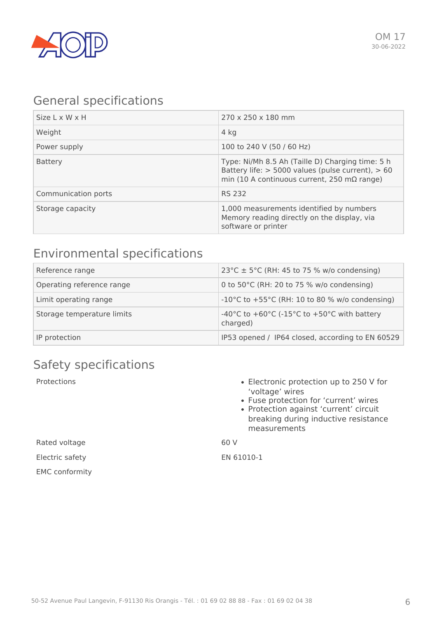

### General specifications

| Size L x W x H      | 270 x 250 x 180 mm                                                                                                                                               |
|---------------------|------------------------------------------------------------------------------------------------------------------------------------------------------------------|
| Weight              | 4 kg                                                                                                                                                             |
| Power supply        | 100 to 240 V (50 / 60 Hz)                                                                                                                                        |
| <b>Battery</b>      | Type: Ni/Mh 8.5 Ah (Taille D) Charging time: 5 h<br>Battery life: $> 5000$ values (pulse current), $> 60$<br>min (10 A continuous current, 250 m $\Omega$ range) |
| Communication ports | <b>RS 232</b>                                                                                                                                                    |
| Storage capacity    | 1,000 measurements identified by numbers<br>Memory reading directly on the display, via<br>software or printer                                                   |

## Environmental specifications

| Reference range            | 23°C $\pm$ 5°C (RH: 45 to 75 % w/o condensing)          |
|----------------------------|---------------------------------------------------------|
| Operating reference range  | 0 to 50 $^{\circ}$ C (RH: 20 to 75 % w/o condensing)    |
| Limit operating range      | -10°C to +55°C (RH: 10 to 80 % w/o condensing)          |
| Storage temperature limits | -40°C to +60°C (-15°C to +50°C with battery<br>charged) |
| IP protection              | IP53 opened / IP64 closed, according to EN 60529        |

## Safety specifications

- Protections **Electronic protection up to 250 V for** 'voltage' wires
	- Fuse protection for 'current' wires
	- Protection against 'current' circuit breaking during inductive resistance measurements

Rated voltage and the control of the God V

Electric safety EN 61010-1

EMC conformity